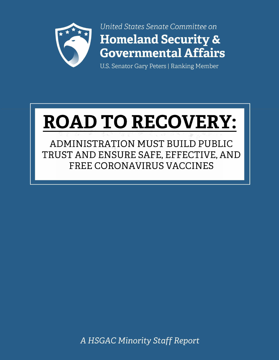

United States Senate Committee on **Homeland Security & Governmental Affairs** 

U.S. Senator Gary Peters | Ranking Member

# **ROAD TO RECOVERY:**

ADMINISTRATION MUST BUILD PUBLIC TRUST AND ENSURE SAFE, EFFECTIVE, AND **FREE CORONAVIRUS VACCINES** 

A HSGAC Minority Staff Report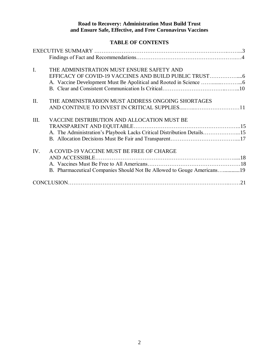#### **Road to Recovery: Administration Must Build Trust and Ensure Safe, Effective, and Free Coronavirus Vaccines**

# **TABLE OF CONTENTS**

| $I_{\cdot}$ | THE ADMINISTRATION MUST ENSURE SAFETY AND                                                                             |
|-------------|-----------------------------------------------------------------------------------------------------------------------|
| II.         | THE ADMINISTRARION MUST ADDRESS ONGOING SHORTAGES                                                                     |
| III.        | VACCINE DISTRIBUTION AND ALLOCATION MUST BE<br>A. The Administration's Playbook Lacks Critical Distribution Details15 |
| IV.         | A COVID-19 VACCINE MUST BE FREE OF CHARGE<br>B. Pharmaceutical Companies Should Not Be Allowed to Gouge Americans19   |
|             |                                                                                                                       |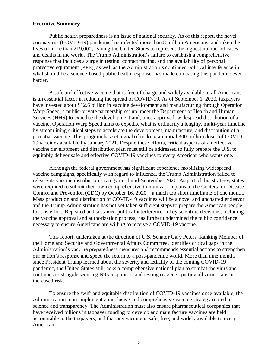#### **Executive Summary**

Public health preparedness is an issue of national security. As of this report, the novel coronavirus (COVID-19) pandemic has infected more than 8 million Americans, and taken the lives of more than 219,000, leaving the United States to represent the highest number of cases and deaths in the world. The Trump Administration's failure to establish a comprehensive response that includes a surge in testing, contact tracing, and the availability of personal protective equipment (PPE), as well as the Administration's continued political interference in what should be a science-based public health response, has made combating this pandemic even harder.

A safe and effective vaccine that is free of charge and widely available to all Americans is an essential factor in reducing the spread of COVID-19. As of September 1, 2020, taxpayers have invested about \$12.6 billion in vaccine development and manufacturing through Operation Warp Speed, a public-private partnership set up under the Department of Health and Human Services (HHS) to expedite the development and, once approved, widespread distribution of a vaccine. Operation Warp Speed aims to expedite what is ordinarily a lengthy, multi-year timeline by streamlining critical steps to accelerate the development, manufacture, and distribution of a potential vaccine. This program has set a goal of making an initial 300 million doses of COVID-19 vaccines available by January 2021. Despite these efforts, critical aspects of an effective vaccine development and distribution plan must still be addressed to fully prepare the U.S. to equitably deliver safe and effective COVID-19 vaccines to every American who wants one.

Although the federal government has significant experience mobilizing widespread vaccine campaigns, specifically with regard to influenza, the Trump Administration failed to release its vaccine distribution strategy until mid-September 2020. As part of this strategy, states were required to submit their own comprehensive immunization plans to the Centers for Disease Control and Prevention (CDC) by October 16, 2020 – a much too short timeframe of one month. Mass production and distribution of COVID-19 vaccines will be a novel and uncharted endeavor and the Trump Administration has not yet taken sufficient steps to prepare the American people for this effort. Repeated and sustained political interference in key scientific decisions, including the vaccine approval and authorization process, has further undermined the public confidence necessary to ensure Americans are willing to receive a COVID-19 vaccine.

This report, undertaken at the direction of U.S. Senator Gary Peters, Ranking Member of the Homeland Security and Governmental Affairs Committee, identifies critical gaps in the Administration's vaccine preparedness measures and recommends essential actions to strengthen our nation's response and speed the return to a post-pandemic world. More than nine months since President Trump learned about the severity and lethality of the coming COVID-19 pandemic, the United States still lacks a comprehensive national plan to combat the virus and continues to struggle securing N95 respirators and testing reagents, putting all Americans at increased risk.

To ensure the swift and equitable distribution of COVID-19 vaccines once available, the Administration must implement an inclusive and comprehensive vaccine strategy rooted in science and transparency. The Administration must also ensure pharmaceutical companies that have received billions in taxpayer funding to develop and manufacture vaccines are held accountable to the taxpayers, and that any vaccine is safe, free, and widely available to every American.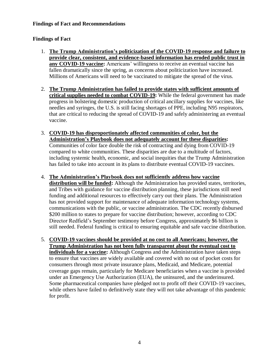## **Findings of Fact and Recommendations**

# **Findings of Fact**

- 1. **The Trump Administration's politicization of the COVID-19 response and failure to provide clear, consistent, and evidence-based information has eroded public trust in any COVID-19 vaccine:** Americans' willingness to receive an eventual vaccine has fallen dramatically since the spring, as concerns about politicization have increased. Millions of Americans will need to be vaccinated to mitigate the spread of the virus.
- 2. **The Trump Administration has failed to provide states with sufficient amounts of critical supplies needed to combat COVID-19:** While the federal government has made progress in bolstering domestic production of critical ancillary supplies for vaccines, like needles and syringes, the U.S. is still facing shortages of PPE, including N95 respirators, that are critical to reducing the spread of COVID-19 and safely administering an eventual vaccine.
- 3. **COVID-19 has disproportionately affected communities of color, but the Administration's Playbook does not adequately account for these disparities:** Communities of color face double the risk of contracting and dying from COVID-19 compared to white communities. These disparities are due to a multitude of factors, including systemic health, economic, and social inequities that the Trump Administration has failed to take into account in its plans to distribute eventual COVID-19 vaccines.
- 4. **The Administration's Playbook does not sufficiently address how vaccine distribution will be funded:** Although the Administration has provided states, territories, and Tribes with guidance for vaccine distribution planning, these jurisdictions still need funding and additional resources to effectively carry out their plans. The Administration has not provided support for maintenance of adequate information technology systems, communications with the public, or vaccine administration. The CDC recently disbursed \$200 million to states to prepare for vaccine distribution; however, according to CDC Director Redfield's September testimony before Congress, approximately \$6 billion is still needed. Federal funding is critical to ensuring equitable and safe vaccine distribution.
- 5. **COVID-19 vaccines should be provided at no cost to all Americans; however, the Trump Administration has not been fully transparent about the eventual cost to individuals for a vaccine:** Although Congress and the Administration have taken steps to ensure that vaccines are widely available and covered with no out of pocket costs for consumers through most private insurance plans, Medicaid, and Medicare, potential coverage gaps remain, particularly for Medicare beneficiaries when a vaccine is provided under an Emergency Use Authorization (EUA), the uninsured, and the underinsured. Some pharmaceutical companies have pledged not to profit off their COVID-19 vaccines, while others have failed to definitively state they will not take advantage of this pandemic for profit.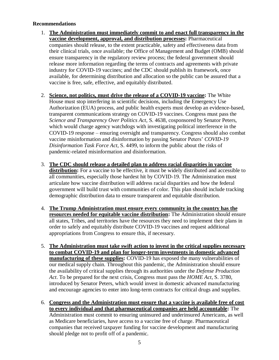## **Recommendations**

- 1. **The Administration must immediately commit to and enact full transparency in the vaccine development, approval, and distribution processes:** Pharmaceutical companies should release, to the extent practicable, safety and effectiveness data from their clinical trials, once available; the Office of Management and Budget (OMB) should ensure transparency in the regulatory review process; the federal government should release more information regarding the terms of contracts and agreements with private industry for COVID-19 vaccines; and the CDC should publish its framework, once available, for determining distribution and allocation so the public can be assured that a vaccine is free, safe, effective, and equitably distributed.
- 2. **Science, not politics, must drive the release of a COVID-19 vaccine:** The White House must stop interfering in scientific decisions, including the Emergency Use Authorization (EUA) process, and public health experts must develop an evidence-based, transparent communications strategy on COVID-19 vaccines. Congress must pass the *Science and Transparency Over Politics Act*, S. 4638, cosponsored by Senator Peters, which would charge agency watchdogs with investigating political interference in the COVID-19 response – ensuring oversight and transparency. Congress should also combat vaccine misinformation and disinformation by passing Senator Peters' *COVID-19 Disinformation Task Force Act*, S. 4499, to inform the public about the risks of pandemic-related misinformation and disinformation.
- 3. **The CDC should release a detailed plan to address racial disparities in vaccine**  distribution: For a vaccine to be effective, it must be widely distributed and accessible to all communities, especially those hardest hit by COVID-19. The Administration must articulate how vaccine distribution will address racial disparities and how the federal government will build trust with communities of color. This plan should include tracking demographic distribution data to ensure transparent and equitable distribution.
- 4. **The Trump Administration must ensure every community in the country has the resources needed for equitable vaccine distribution:** The Administration should ensure all states, Tribes, and territories have the resources they need to implement their plans in order to safely and equitably distribute COVID-19 vaccines and request additional appropriations from Congress to ensure this, if necessary.
- 5. **The Administration must take swift action to invest in the critical supplies necessary to combat COVID-19 and plan for longer-term investments in domestic advanced manufacturing of these supplies:** COVID-19 has exposed the many vulnerabilities of our medical supply chain. Throughout this pandemic, the Administration should ensure the availability of critical supplies through its authorities under the *Defense Production Act*. To be prepared for the next crisis, Congress must pass the *HOME Act*, S. 3780, introduced by Senator Peters, which would invest in domestic advanced manufacturing and encourage agencies to enter into long-term contracts for critical drugs and supplies.
- 6. **Congress and the Administration must ensure that a vaccine is available free of cost to every individual and that pharmaceutical companies are held accountable:** The Administration must commit to ensuring uninsured and underinsured Americans, as well as Medicare beneficiaries, have access to a vaccine free of charge. Pharmaceutical companies that received taxpayer funding for vaccine development and manufacturing should pledge not to profit off of a pandemic.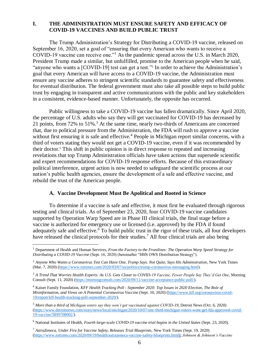## **I. THE ADMINISTRATION MUST ENSURE SAFETY AND EFFICACY OF COVID-19 VACCINES AND BUILD PUBLIC TRUST**

The Trump Administration's Strategy for Distributing a COVID-19 vaccine, released on September 16, 2020, set a goal of "ensuring that every American who wants to receive a COVID-19 vaccine can receive one."<sup>1</sup> As the pandemic spread across the U.S. in March 2020, President Trump made a similar, but unfulfilled, promise to the American people when he said, "anyone who wants a [COVID-19] test can get a test."<sup>2</sup> In order to achieve the Administration's goal that every American will have access to a COVID-19 vaccine, the Administration must ensure any vaccine adheres to stringent scientific standards to guarantee safety and effectiveness for eventual distribution. The federal government must also take all possible steps to build public trust by engaging in transparent and active communications with the public and key stakeholders in a consistent, evidence-based manner. Unfortunately, the opposite has occurred.

Public willingness to take a COVID-19 vaccine has fallen dramatically. Since April 2020, the percentage of U.S. adults who say they will get vaccinated for COVID-19 has decreased by 21 points, from 72% to 51%.<sup>3</sup> At the same time, nearly two-thirds of Americans are concerned that, due to political pressure from the Administration, the FDA will rush to approve a vaccine without first ensuring it is safe and effective.<sup>4</sup> People in Michigan report similar concerns, with a third of voters stating they would not get a COVID-19 vaccine, even if it was recommended by their doctor.<sup>5</sup> This shift in public opinion is in direct response to repeated and increasing revelations that top Trump Administration officials have taken actions that supersede scientific and expert recommendations for COVID-19 response efforts. Because of this extraordinary political interference, urgent action is now needed to safeguard the scientific process at our nation's public health agencies, ensure the development of a safe and effective vaccine, and rebuild the trust of the American people.

#### **A. Vaccine Development Must Be Apolitical and Rooted in Science**

To determine if a vaccine is safe and effective, it must first be evaluated through rigorous testing and clinical trials. As of September 23, 2020, four COVID-19 vaccine candidates supported by Operation Warp Speed are in Phase III clinical trials, the final stage before a vaccine is authorized for emergency use or licensed (i.e. approved) by the FDA if found adequately safe and effective.<sup>6</sup> To build public trust in the rigor of these trials, all four developers have released the clinical protocols for their studies.<sup>7</sup> All four clinical trials are also being

<sup>1</sup> Department of Health and Human Services, *From the Factory to the Frontlines: The Operation Warp Speed Strategy for Distributing a COVID-19 Vaccine* (Sept. 16, 2020) (hereinafter "HHS OWS Distribution Strategy").

<sup>2</sup> *Anyone Who Wants a Coronavirus Test Can Have One, Trump Says. Not Quite, Says His Administration*, New York Times (Mar. 7, 2020) [\(https://www.nytimes.com/2020/03/07/us/politics/trump-coronavirus-messaging.html\)](https://www.nytimes.com/2020/03/07/us/politics/trump-coronavirus-messaging.html).

<sup>3</sup> *A Trend That Worries Health Experts: As U.S. Gets Closer to COVID-19 Vaccine, Fewer People Say They'd Get One*, Morning Consult (Sept. 11, 2020) [\(https://morningconsult.com/2020/09/11/vaccine-acceptance-public-poll/\)](https://morningconsult.com/2020/09/11/vaccine-acceptance-public-poll/).

<sup>4</sup> Kaiser Family Foundation, *KFF Health Tracking Poll - September 2020: Top Issues in 2020 Election, The Role of Misinformation, and Views on A Potential Coronavirus Vaccine* (Sept. 10, 2020) [\(https://www.kff.org/coronavirus-covid-](https://www.kff.org/coronavirus-covid-19/report/kff-health-tracking-poll-september-2020/)[19/report/kff-health-tracking-poll-september-2020/\)](https://www.kff.org/coronavirus-covid-19/report/kff-health-tracking-poll-september-2020/).

<sup>5</sup> *More than a third of Michigan voters say they won't get vaccinated against COVID-19*, Detroit News (Oct. 6, 2020) [\(https://www.detroitnews.com/story/news/local/michigan/2020/10/07/one-third-michigan-voters-wont-get-fda-approved-covid-](https://www.detroitnews.com/story/news/local/michigan/2020/10/07/one-third-michigan-voters-wont-get-fda-approved-covid-19-vaccine/5899708002/)[19-vaccine/5899708002/\)](https://www.detroitnews.com/story/news/local/michigan/2020/10/07/one-third-michigan-voters-wont-get-fda-approved-covid-19-vaccine/5899708002/).

<sup>6</sup> National Institutes of Health, *Fourth large-scale COVID-19 vaccine trial begins in the United States* (Sept. 23, 2020).

<sup>7</sup> *AstraZeneca, Under Fire for Vaccine Safety, Releases Trial Blueprints,* New York Times (Sept. 19, 2020) [\(https://www.nytimes.com/2020/09/19/health/astrazeneca-vaccine-safety-blueprints.html\)](https://www.nytimes.com/2020/09/19/health/astrazeneca-vaccine-safety-blueprints.html); *Johnson & Johnson's Vaccine*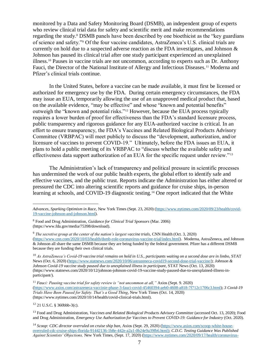monitored by a Data and Safety Monitoring Board (DSMB), an independent group of experts who review clinical trial data for safety and scientific merit and make recommendations regarding the study. <sup>8</sup> DSMB panels have been described by one bioethicist as the "key guardians of science and safety."<sup>9</sup> Of the four vaccine candidates, AstraZeneca's U.S. clinical trials are currently on hold due to a suspected adverse reaction as the FDA investigates, and Johnson  $\&$ Johnson has paused its clinical trial after one study participant experienced an unexplained illness.<sup>10</sup> Pauses in vaccine trials are not uncommon, according to experts such as Dr. Anthony Fauci, the Director of the National Institute of Allergy and Infectious Diseases.<sup>11</sup> Moderna and Pfizer's clinical trials continue.

In the United States, before a vaccine can be made available, it must first be licensed or authorized for emergency use by the FDA. During certain emergency circumstances, the FDA may issue an EUA, temporarily allowing the use of an unapproved medical product that, based on the available evidence, "may be effective" and whose "known and potential benefits" outweigh the "known and potential risks." <sup>12</sup> However, because the EUA process typically requires a lower burden of proof for effectiveness than the FDA's standard licensure process, public transparency and rigorous guidance for any EUA-authorized vaccine is critical. In an effort to ensure transparency, the FDA's Vaccines and Related Biological Products Advisory Committee (VRBPAC) will meet publicly to discuss the "development, authorization, and/or licensure of vaccines to prevent COVID-19." Ultimately, before the FDA issues an EUA, it plans to hold a public meeting of its VRBPAC to "discuss whether the available safety and effectiveness data support authorization of an EUA for the specific request under review."<sup>13</sup>

The Administration's lack of transparency and political pressure in scientific processes has undermined the work of our public health experts, the global effort to identify safe and effective vaccines, and the public trust. Reports indicate the Administration has either altered or pressured the CDC into altering scientific reports and guidance for cruise ships, in-person learning at schools, and COVID-19 diagnostic testing.<sup>14</sup> One report indicated that the White

<sup>10</sup> As AstraZeneca's Covid-19 vaccine trial remains on hold in U.S., participants waiting on a second dose are in limbo, STAT News (Oct. 6, 2020) [\(https://www.statnews.com/2020/10/06/astrazeneca-covid19-second-dose-trial-vaccine/\)](https://www.statnews.com/2020/10/06/astrazeneca-covid19-second-dose-trial-vaccine/); *Johnson & Johnson Covid-19 vaccine study paused due to unexplained illness in participant*, STAT News (Oct. 13, 2020) (https://www.statnews.com/2020/10/12/johnson-johnson-covid-19-vaccine-study-paused-due-to-unexplained-illness-inparticipant/).

<sup>12</sup> 21 U.S.C. § 360bbb-3(c).

*Advances, Sparking Optimism in Race*, New York Times (Sept. 23, 2020) [\(https://www.nytimes.com/2020/09/23/health/covid-](https://www.nytimes.com/2020/09/23/health/covid-19-vaccine-johnson-and-johnson.html)[19-vaccine-johnson-and-johnson.html\)](https://www.nytimes.com/2020/09/23/health/covid-19-vaccine-johnson-and-johnson.html).

<sup>8</sup> Food and Drug Administration, *Guidance for Clinical Trial Sponsors* (Mar. 2006) (https://www.fda.gov/media/75398/download).

<sup>9</sup> *The secretive group at the center of the nation's largest vaccine trials*, CNN Health (Oct. 3, 2020) [\(https://www.cnn.com/2020/10/03/health/dsmb-role-coronavirus-vaccine-trial/index.html\)](https://www.cnn.com/2020/10/03/health/dsmb-role-coronavirus-vaccine-trial/index.html). Moderna, AstraZeneca, and Johnson & Johnson all share the same DSMB because they are being funded by the federal government. Pfizer has a different DSMB because they are funding their own clinical trials.

<sup>&</sup>lt;sup>11</sup> Fauci: Pausing vaccine trial for safety review is "not uncommon at all," Axios (Sept. 9. 2020) [\(https://www.axios.com/astrazeneca-vaccinie-phase-3-fauci-covid-45460394-aeb0-4608-a818-7f712c1706c3.html\)](https://www.axios.com/astrazeneca-vaccinie-phase-3-fauci-covid-45460394-aeb0-4608-a818-7f712c1706c3.html); *3 Covid-19 Trials Have Been Paused for Safety. That's a Good Thing*, New York Times (Oct. 14, 2020) (https://www.nytimes.com/2020/10/14/health/covid-clinical-trials.html).

<sup>13</sup> Food and Drug Administration, *Vaccines and Related Biological Products Advisory Committee* (accessed Oct. 13, 2020); Food and Drug Administration, *Emergency Use Authorization for Vaccines to Prevent COVID-19: Guidance for Industry* (Oct. 2020).

<sup>&</sup>lt;sup>14</sup> Scoop: CDC director overruled on cruise ship ban, Axios (Sept. 29, 2020) [\(https://www.axios.com/scoop-white-house](https://www.axios.com/scoop-white-house-overruled-cdc-cruise-ships-florida-91442136-1b8e-442e-a2a1-0b24e9a39fb6.html)[overruled-cdc-cruise-ships-florida-91442136-1b8e-442e-a2a1-0b24e9a39fb6.html\)](https://www.axios.com/scoop-white-house-overruled-cdc-cruise-ships-florida-91442136-1b8e-442e-a2a1-0b24e9a39fb6.html); *C.D.C. Testing Guidance Was Published Against Scientists' Objections,* New York Times, (Sept. 17, 2020) [\(https://www.nytimes.com/2020/09/17/health/coronavirus-](about:blank)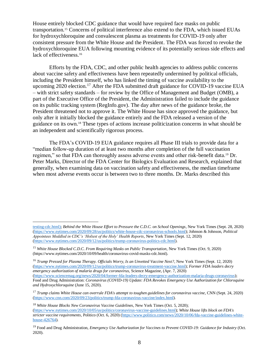House entirely blocked CDC guidance that would have required face masks on public transportation.<sup>15</sup> Concerns of political interference also extend to the FDA, which issued EUAs for hydroxychloroquine and convalescent plasma as treatments for COVID-19 only after consistent pressure from the White House and the President. The FDA was forced to revoke the hydroxychloroquine EUA following mounting evidence of its potentially serious side effects and lack of effectiveness.<sup>16</sup>

Efforts by the FDA, CDC, and other public health agencies to address public concerns about vaccine safety and effectiveness have been repeatedly undermined by political officials, including the President himself, who has linked the timing of vaccine availability to the upcoming 2020 election.<sup>17</sup> After the FDA submitted draft guidance for COVID-19 vaccine EUA – with strict safety standards – for review by the Office of Management and Budget (OMB), a part of the Executive Office of the President, the Administration failed to include the guidance on its public tracking system (RegInfo.gov). The day after news of the guidance broke, the President threatened not to approve it. The White House has since approved the guidance, but only after it initially blocked the guidance entirely and the FDA released a version of the guidance on its own.<sup>18</sup> These types of actions increase politicization concerns in what should be an independent and scientifically rigorous process.

The FDA's COVID-19 EUA guidance requires all Phase III trials to provide data for a "median follow-up duration of at least two months after completion of the full vaccination regimen," so that FDA can thoroughly assess adverse events and other risk-benefit data.<sup>19</sup> Dr. Peter Marks, Director of the FDA Center for Biologics Evaluation and Research, explained that generally, when examining data on vaccination safety and effectiveness, the median timeframe when most adverse events occur is between two to three months. Dr. Marks described this

 $\overline{a}$ 

<sup>16</sup> *Trump Pressed for Plasma Therapy. Officials Worry, Is an Unvetted Vaccine Next?*, New York Times (Sept. 12, 2020) [\(https://www.nytimes.com/2020/09/12/us/politics/trump-coronavirus-treatment-vaccine.html\)](https://www.nytimes.com/2020/09/12/us/politics/trump-coronavirus-treatment-vaccine.html); *Former FDA leaders decry emergency authorization of malaria drugs for coronavirus,* Science Magazine, (Apr. 7, 2020)

[testing-cdc.html\)](about:blank); *Behind the White House Effort to Pressure the C.D.C. on School Openings*, New York Times (Sept. 28, 2020) [\(https://www.nytimes.com/2020/09/28/us/politics/white-house-cdc-coronavirus-schools.html\)](https://www.nytimes.com/2020/09/28/us/politics/white-house-cdc-coronavirus-schools.html); Johnson & Johnson, *Political Appointees Meddled in CDC's 'Holiest of the Holy' Health Reports*, New York Times (Sept. 12, 2020) [\(https://www.nytimes.com/2020/09/12/us/politics/trump-coronavirus-politics-cdc.html\)](https://www.nytimes.com/2020/09/12/us/politics/trump-coronavirus-politics-cdc.html).

<sup>&</sup>lt;sup>15</sup> White House Blocked C.D.C. From Requiring Masks on Public Transportation, New York Times (Oct. 9, 2020) (https://www.nytimes.com/2020/10/09/health/coronavirus-covid-masks-cdc.html).

[<sup>\(</sup>https://www.sciencemag.org/news/2020/04/former-fda-leaders-decry-emergency-authorization-malaria-drugs-coronavirus\)](https://www.sciencemag.org/news/2020/04/former-fda-leaders-decry-emergency-authorization-malaria-drugs-coronavirus); Food and Drug Administration: *Coronavirus (COVID-19) Update: FDA Revokes Emergency Use Authorization for Chloroquine and Hydroxychloroquine* (June 15, 2020).

<sup>17</sup> *Trump claims White House can overrule FDA's attempt to toughen guidelines for coronavirus vaccine*, CNN (Sept. 24, 2020) [\(https://www.cnn.com/2020/09/23/politics/trump-fda-coronavirus-vaccine/index.html\)](https://www.cnn.com/2020/09/23/politics/trump-fda-coronavirus-vaccine/index.html).

<sup>18</sup> *White House Blocks New Coronavirus Vaccine Guidelines*, New York Times (Oct. 5, 2020); [\(https://www.nytimes.com/2020/10/05/us/politics/coronavirus-vaccine-guidelines.html\)](https://www.nytimes.com/2020/10/05/us/politics/coronavirus-vaccine-guidelines.html); *White House lifts block on FDA's stricter vaccine requirements*, Politico (Oct. 6, 2020) [\(https://www.politico.com/news/2020/10/06/fda-vaccine-guidelines-white](https://www.politico.com/news/2020/10/06/fda-vaccine-guidelines-white-house-426764)[house-426764\)](https://www.politico.com/news/2020/10/06/fda-vaccine-guidelines-white-house-426764).

<sup>19</sup> Food and Drug Administration, *Emergency Use Authorization for Vaccines to Prevent COVID-19: Guidance for Industry* (Oct. 2020).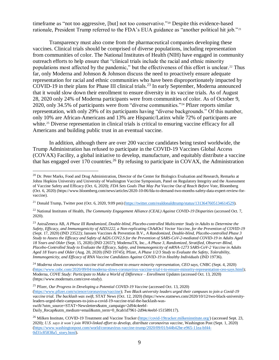timeframe as "not too aggressive, [but] not too conservative."<sup>20</sup> Despite this evidence-based rationale, President Trump referred to the FDA's EUA guidance as "another political hit job."<sup>21</sup>

Transparency must also come from the pharmaceutical companies developing these vaccines. Clinical trials should be comprised of diverse populations, including representation from communities of color. The National Institutes of Health (NIH) have engaged in community outreach efforts to help ensure that "clinical trials include the racial and ethnic minority populations most affected by the pandemic," but the effectiveness of this effort is unclear.<sup>22</sup> Thus far, only Moderna and Johnson & Johnson discuss the need to proactively ensure adequate representation for racial and ethnic communities who have been disproportionately impacted by COVID-19 in their plans for Phase III clinical trials.<sup>23</sup> In early September, Moderna announced that it would slow down their enrollment to ensure diversity in its vaccine trials. As of August 28, 2020 only 24% of Moderna participants were from communities of color. As of October 9, 2020, only 34.5% of participants were from "diverse communities."<sup>24</sup> Pfizer reports similar representation, with only 29% of its participants having "diverse backgrounds." Of this number, only 10% are African-Americans and 13% are Hispanic/Latinx while 72% of participants are white.<sup>25</sup> Diverse representation in clinical trials is critical to ensuring vaccine efficacy for all Americans and building public trust in an eventual vaccine.

In addition, although there are over 200 vaccine candidates being tested worldwide, the Trump Administration has refused to participate in the COVID-19 Vaccines Global Access (COVAX) Facility, a global initiative to develop, manufacture, and equitably distribute a vaccine that has engaged over 170 countries.<sup>26</sup> By refusing to participate in COVAX, the Administration

 $\overline{a}$ 

<sup>24</sup> Moderna slows coronavirus vaccine trial enrollment to ensure minority representation, CEO says, CNBC (Sept. 4, 2020) [\(https://www.cnbc.com/2020/09/04/moderna-slows-coronavirus-vaccine-trial-t-to-ensure-minority-representation-ceo-says.html\)](https://www.cnbc.com/2020/09/04/moderna-slows-coronavirus-vaccine-trial-t-to-ensure-minority-representation-ceo-says.html); Moderna*, COVE Study: Participate to Make a World of Difference – Enrollment Updates* (accessed Oct. 13, 2020) (https://www.modernatx.com/cove-study).

 $^{20}$  Dr. Peter Marks, Food and Drug Administration, Director of the Center for Biologics Evaluation and Research, Remarks at Johns Hopkins University and University of Washington Vaccine Symposium, Panel on Regulatory Integrity and the Assessment of Vaccine Safety and Efficacy (Oct. 6, 2020); *FDA Sets Goals That May Put Vaccine Out of Reach Before Vote*, Bloomberg (Oct. 6, 2020) (https://www.bloomberg.com/news/articles/2020-10-06/fda-to-demand-two-months-safety-data-expert-review-forvaccine).

<sup>&</sup>lt;sup>21</sup> Donald Trump, Twitter post (Oct. 6, 2020, 9:09 pm) [\(https://twitter.com/realdonaldtrump/status/1313647605134614529\)](https://twitter.com/realdonaldtrump/status/1313647605134614529).

<sup>22</sup> National Institutes of Health, *The Community Engagement Alliance (CEAL) Against COVID-19 Disparities* (accessed Oct. 7, 2020).

<sup>23</sup> AstraZeneca AB, *A Phase III Randomized, Double-blind, Placebo-controlled Multicenter Study in Adults to Determine the Safety, Efficacy, and Immunogenicity of AZD1222, a Non-replicating ChAdOx1 Vector Vaccine, for the Prevention of COVID-19* (Sept. 17, 2020) (IND 23522); Janssen Vaccines & Prevention B.V., *A Randomized, Double-blind, Placebo-controlled Phase 3 Study to Assess the Efficacy and Safety of Ad26.COV2.S for the Prevention of SARS-CoV-2-mediated COVID-19 in Adults Aged 18 Years and Older* (Sept. 15, 2020) (IND 22657); ModernaTX, Inc., *A Phase 3, Randomized, Stratified, Observer-Blind, Placebo-Controlled Study to Evaluate the Efficacy, Safety, and Immunogenicity of mRNA-1273 SARS-CoV-2 Vaccine in Adults Aged 18 Years and Older* (Aug. 20, 2020) (IND 19745); Pfizer, *A Phase 1/2/3 Study to Evaluate the Safety, Tolerability, Immunogenicity, and Efficacy of RNA Vaccine Candidates Against COVID-19 in Healthy Individuals* (IND 19736).

<sup>25</sup> Pfizer, *Our Progress in Developing a Potential COVID-19 Vaccine* (accessed Oct. 13, 2020) [\(https://www.pfizer.com/science/coronavirus/vaccine\)](https://www.pfizer.com/science/coronavirus/vaccine); *Two Black university leaders urged their campuses to join a Covid-19 vaccine trial. The backlash was swift,* STAT News (Oct. 12, 2020) (https://www.statnews.com/2020/10/12/two-black-universityleaders-urged-their-campuses-to-join-a-covid-19-vaccine-trial-the-backlash-wasswift/?utm\_source=STAT+Newsletters&utm\_campaign=2d94c4eebf-Daily\_Recap&utm\_medium=email&utm\_term=0\_8cab1d7961-2d94c4eebf-151589117).

<sup>&</sup>lt;sup>26</sup> Milken Institute, COVID-19 Treatment and Vaccine Tracker [\(https://covid-19tracker.milkeninstitute.org/\)](https://covid-19tracker.milkeninstitute.org/) (accessed Sept. 23, 2020); *U.S. says it won't join WHO-linked effort to develop, distribute coronavirus vaccine*, Washington Post (Sept. 1, 2020) [\(https://www.washingtonpost.com/world/coronavirus-vaccine-trump/2020/09/01/b44b42be-e965-11ea-bf44-](https://www.washingtonpost.com/world/coronavirus-vaccine-trump/2020/09/01/b44b42be-e965-11ea-bf44-0d31c85838a5_story.html) [0d31c85838a5\\_story.html\)](https://www.washingtonpost.com/world/coronavirus-vaccine-trump/2020/09/01/b44b42be-e965-11ea-bf44-0d31c85838a5_story.html).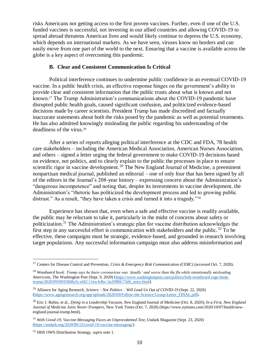risks Americans not getting access to the first proven vaccines. Further, even if one of the U.S. funded vaccines is successful, not investing in our allied countries and allowing COVID-19 to spread abroad threatens American lives and would likely continue to depress the U.S. economy, which depends on international markets. As we have seen, viruses know no borders and can easily move from one part of the world to the next. Ensuring that a vaccine is available across the globe is a key aspect of overcoming this pandemic.

#### **B. Clear and Consistent Communication Is Critical**

Political interference continues to undermine public confidence in an eventual COVID-19 vaccine. In a public health crisis, an effective response hinges on the government's ability to provide clear and consistent information that the public trusts about what is known and not known.<sup>27</sup> The Trump Administration's communications about the COVID-19 pandemic have disrupted public health goals, caused significant confusion, and politicized evidence-based decisions made by career scientists. President Trump has made discredited and factually inaccurate statements about both the risks posed by the pandemic as well as potential treatments. He has also admitted knowingly misleading the public regarding his understanding of the deadliness of the virus.<sup>28</sup>

After a series of reports alleging political interference at the CDC and FDA, 78 health care stakeholders – including the American Medical Association, American Nurses Association, and others – signed a letter urging the federal government to make COVID-19 decisions based on evidence, not politics, and to clearly explain to the public the processes in place to ensure scientific rigor in vaccine development.<sup>29</sup> The New England Journal of Medicine, a preeminent nonpartisan medical journal, published an editorial – one of only four that has been signed by all of the editors in the Journal's 208-year history – expressing concern about the Administration's "dangerous incompetence" and noting that, despite its investments in vaccine development, the Administration's "rhetoric has politicized the development process and led to growing public distrust." As a result, "they have taken a crisis and turned it into a tragedy."<sup>30</sup>

Experience has shown that, even when a safe and effective vaccine is readily available, the public may be reluctant to take it, particularly in the midst of concerns about safety or politicization.<sup>31</sup> The Administration's strategic plan for vaccine distribution acknowledges the first step in any successful effort is communication with stakeholders and the public.<sup>32</sup> To be effective, these campaigns must be strategic, evidence-based, and grounded in research involving target populations. Any successful information campaign must also address misinformation and

<sup>27</sup> Centers for Disease Control and Prevention, *Crisis & Emergency Risk Communication (CERC)* (accessed Oct. 7, 2020).

<sup>28</sup> *Woodward book: Trump says he knew coronavirus was 'deadly' and worse than the flu while intentionally misleading Americans*, The Washington Post (Sept. 9, 2020) [\(https://www.washingtonpost.com/politics/bob-woodward-rage-book](https://www.washingtonpost.com/politics/bob-woodward-rage-book-trump/2020/09/09/0368fe3c-efd2-11ea-b4bc-3a2098fc73d4_story.html)[trump/2020/09/09/0368fe3c-efd2-11ea-b4bc-3a2098fc73d4\\_story.html\)](https://www.washingtonpost.com/politics/bob-woodward-rage-book-trump/2020/09/09/0368fe3c-efd2-11ea-b4bc-3a2098fc73d4_story.html).

<sup>29</sup> Alliance for Aging Research*, Science – Not Politics – Will Lead Us Out of COVID-19* (Sept. 22, 2020) [\(https://www.agingresearch.org/app/uploads/2020/09/Follow-the-Science-Group-Letter\\_FINAL.pdf\)](https://www.agingresearch.org/app/uploads/2020/09/Follow-the-Science-Group-Letter_FINAL.pdf).

<sup>30</sup> Eric J. Rubin, et al., *Dying in a Leadership Vacuum, New* England Journal of Medicine (Oct. 8, 2020); *In a First, New England Journal of Medicine Joins Never-Trumpers*, New York Times (Oct. 7, 2020) (https://www.nytimes.com/2020/10/07/health/newengland-journal-trump.html).

<sup>31</sup> *With Covid-19, Vaccine Messaging Faces an Unprecedented Test*, Undark Magazine (Sept. 23, 2020) [\(https://undark.org/2020/09/23/covid-19-vaccine-messaging/\)](https://undark.org/2020/09/23/covid-19-vaccine-messaging/).

<sup>32</sup> HHS OWS Distribution Strategy, *supra* note 1.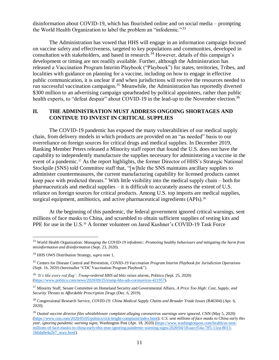disinformation about COVID-19, which has flourished online and on social media – prompting the World Health Organization to label the problem an "infodemic."<sup>33</sup>

The Administration has vowed that HHS will engage in an information campaign focused on vaccine safety and effectiveness, targeted to key populations and communities, developed in consultation with stakeholders, and based in research.<sup>34</sup> However, details of this campaign's development or timing are not readily available. Further, although the Administration has released a Vaccination Program Interim Playbook ("Playbook") for states, territories, Tribes, and localities with guidance on planning for a vaccine, including on how to engage in effective public communication, it is unclear if and when jurisdictions will receive the resources needed to run successful vaccination campaigns.<sup>35</sup> Meanwhile, the Administration has reportedly diverted \$300 million to an advertising campaign spearheaded by political appointees, rather than public health experts, to "defeat despair" about COVID-19 in the lead-up to the November election.<sup>36</sup>

## **II. THE ADMINISTRATION MUST ADDRESS ONGOING SHORTAGES AND CONTINUE TO INVEST IN CRITICAL SUPPLIES**

The COVID-19 pandemic has exposed the many vulnerabilities of our medical supply chain, from delivery models in which products are provided on an "as needed" basis to our overreliance on foreign sources for critical drugs and medical supplies. In December 2019, Ranking Member Peters released a Minority staff report that found the U.S. does not have the capability to independently manufacture the supplies necessary for administering a vaccine in the event of a pandemic.<sup>37</sup> As the report highlights, the former Director of HHS's Strategic National Stockpile (SNS) told Committee staff that, "[w]hile the SNS maintains ancillary supplies to administer countermeasures, the current manufacturing capability for licensed products cannot keep pace with predicted threats." With little visibility into the medical supply chain – both for pharmaceuticals and medical supplies – it is difficult to accurately assess the extent of U.S. reliance on foreign sources for critical products. Among U.S. top imports are medical supplies, surgical equipment, antibiotics, and active pharmaceutical ingredients (APIs).<sup>38</sup>

At the beginning of this pandemic, the federal government ignored critical warnings, sent millions of face masks to China, and scrambled to obtain sufficient supplies of testing kits and PPE for use in the U.S.<sup>39</sup> A former volunteer on Jared Kushner's COVID-19 Task Force

<sup>33</sup> World Health Organization: *Managing the COVID-19 infodemic: Promoting healthy behaviours and mitigating the harm from misinformation and disinformation* (Sept. 23, 2020).

<sup>34</sup> HHS OWS Distribution Strategy, *supra* note 1.

<sup>35</sup> Centers for Disease Control and Prevention, *COVID-19 Vaccination Program Interim Playbook for Jurisdiction Operations* (Sept. 16, 2020) (hereinafter "CDC Vaccination Program Playbook").

<sup>36</sup> *'It's like every red flag': Trump-ordered HHS ad blitz raises alarms*, Politico (Sept. 25, 2020) [\(https://www.politico.com/news/2020/09/25/trump-hhs-ads-coronavirus-421957\)](https://www.politico.com/news/2020/09/25/trump-hhs-ads-coronavirus-421957).

<sup>37</sup> Minority Staff, Senate Committee on Homeland Security and Governmental Affairs, *A Price Too High: Cost, Supply, and Security Threats to Affordable Prescription Drugs* (Dec. 6, 2019).

<sup>38</sup> Congressional Research Service, *COVID-19: China Medical Supply Chains and Broader Trade Issues* (R46304) (Apr. 6, 2020).

<sup>39</sup> *Ousted vaccine director files whistleblower complaint alleging coronavirus warnings were ignored*, CNN (May 5, 2020) [\(https://www.cnn.com/2020/05/05/politics/rick-bright-complaint/index.html\)](https://www.cnn.com/2020/05/05/politics/rick-bright-complaint/index.html); *U.S. sent millions of face masks to China early this year, ignoring pandemic warning signs*, Washington Post (Apr. 18, 2020) [\(https://www.washingtonpost.com/health/us-sent](https://www.washingtonpost.com/health/us-sent-millions-of-face-masks-to-china-early-this-year-ignoring-pandemic-warning-signs/2020/04/18/aaccf54a-7ff5-11ea-8013-1b6da0e4a2b7_story.html)[millions-of-face-masks-to-china-early-this-year-ignoring-pandemic-warning-signs/2020/04/18/aaccf54a-7ff5-11ea-8013-](https://www.washingtonpost.com/health/us-sent-millions-of-face-masks-to-china-early-this-year-ignoring-pandemic-warning-signs/2020/04/18/aaccf54a-7ff5-11ea-8013-1b6da0e4a2b7_story.html) [1b6da0e4a2b7\\_story.html\)](https://www.washingtonpost.com/health/us-sent-millions-of-face-masks-to-china-early-this-year-ignoring-pandemic-warning-signs/2020/04/18/aaccf54a-7ff5-11ea-8013-1b6da0e4a2b7_story.html).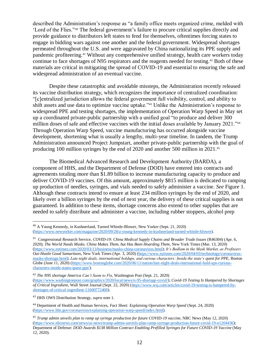described the Administration's response as "a family office meets organized crime, melded with 'Lord of the Flies."<sup>40</sup> The federal government's failure to procure critical supplies directly and provide guidance to distributors left states to fend for themselves, oftentimes forcing states to engage in bidding wars against one another and the federal government. Widespread shortages permeated throughout the U.S. and were aggravated by China nationalizing its PPE supply and pandemic profiteering. <sup>41</sup> Without any comprehensive unified strategy, health care workers today continue to face shortages of N95 respirators and the reagents needed for testing. <sup>42</sup> Both of these materials are critical in mitigating the spread of COVID-19 and essential to ensuring the safe and widespread administration of an eventual vaccine.

Despite these catastrophic and avoidable missteps, the Administration recently released its vaccine distribution strategy, which recognizes the importance of centralized coordination: "[c]entralized jurisdiction allows the federal government full visibility, control, and ability to shift assets and use data to optimize vaccine uptake."<sup>43</sup> Unlike the Administration's response to widespread PPE and testing shortages, the implementation of Operation Warp Speed in May set up a coordinated private-public partnership with a unified goal "to produce and deliver 300 million doses of safe and effective vaccines with the initial doses available by January 2021."<sup>44</sup> Through Operation Warp Speed, vaccine manufacturing has occurred alongside vaccine development, shortening what is usually a lengthy, multi-year timeline. In tandem, the Trump Administration announced Project Jumpstart, another private-public partnership with the goal of producing 100 million syringes by the end of 2020 and another 500 million in 2021.<sup>45</sup>

The Biomedical Advanced Research and Development Authority (BARDA), a component of HHS, and the Department of Defense (DOD) have entered into contracts and agreements totaling more than \$1.89 billion to increase manufacturing capacity to produce and deliver COVID-19 vaccines. Of this amount, approximately \$815 million is dedicated to ramping up production of needles, syringes, and vials needed to safely administer a vaccine. *See* Figure 1. Although these contracts intend to ensure at least 234 million syringes by the end of 2020, and likely over a billion syringes by the end of next year, the delivery of these critical supplies is not guaranteed. In addition to these items, shortage concerns also extend to other supplies that are needed to safely distribute and administer a vaccine, including rubber stoppers, alcohol prep

<sup>40</sup> A Young Kennedy, in Kushnerland, Turned Whistle-Blower, New Yorker (Sept. 21, 2020) [\(https://www.newyorker.com/magazine/2020/09/28/a-young-kennedy-in-kushnerland-turned-whistle-blower\)](https://www.newyorker.com/magazine/2020/09/28/a-young-kennedy-in-kushnerland-turned-whistle-blower).

<sup>41</sup> Congressional Research Service, *COVID-19: China Medical Supply Chains and Broader Trade Issues* (R46304) (Apr. 6, 2020); *The World Needs Masks. China Makes Them, but Has Been Hoarding Them*, New York Times (Mar. 13, 2020) [\(https://www.nytimes.com/2020/03/13/business/masks-china-coronavirus.html\)](https://www.nytimes.com/2020/03/13/business/masks-china-coronavirus.html); *It's Bedlam in the Mask Market, as Profiteers Out-Hustle Good Samaritans,* New York Times (Apr. 3, 2020) [\(https://www.nytimes.com/2020/04/03/technology/coronavirus](https://www.nytimes.com/2020/04/03/technology/coronavirus-masks-shortage.html)[masks-shortage.html\)](https://www.nytimes.com/2020/04/03/technology/coronavirus-masks-shortage.html); *Late night deals, international holdups, and curious characters: Inside the state's quest for PPE*, Boston Globe (June 11, 2020) [\(https://www.bostonglobe.com/2020/06/11/nation/late-night-deals-international-hold-ups-curious](https://www.bostonglobe.com/2020/06/11/nation/late-night-deals-international-hold-ups-curious-characters-inside-states-quest-ppe/)[characters-inside-states-quest-ppe/\)](https://www.bostonglobe.com/2020/06/11/nation/late-night-deals-international-hold-ups-curious-characters-inside-states-quest-ppe/).

<sup>42</sup> *The N95 shortage America Can't Seem to Fix*, Washington Post (Sept. 21, 2020)

[<sup>\(</sup>https://www.washingtonpost.com/graphics/2020/local/news/n-95-shortage-covid/\)](https://www.washingtonpost.com/graphics/2020/local/news/n-95-shortage-covid/); *Covid-19 Testing Is Hampered by Shortages of Critical Ingredient,* Wall Street Journal (Sept. 22, 2020) [\(https://www.wsj.com/articles/covid-19-testing-is-hampered-by](https://www.wsj.com/articles/covid-19-testing-is-hampered-by-shortages-of-critical-ingredient-11600772400)[shortages-of-critical-ingredient-11600772400\)](https://www.wsj.com/articles/covid-19-testing-is-hampered-by-shortages-of-critical-ingredient-11600772400).

<sup>43</sup> HHS OWS Distribution Strategy, *supra* note 1.

<sup>44</sup> Department of Health and Human Services, *Fact Sheet: Explaining Operation Warp Speed* (Sept. 24, 2020) [\(https://www.hhs.gov/coronavirus/explaining-operation-warp-speed/index.html\)](https://www.hhs.gov/coronavirus/explaining-operation-warp-speed/index.html).

<sup>45</sup> *Trump admin unveils plan to ramp up syringe production for future COVID-19 vaccine*, NBC News (May 12, 2020) [\(https://www.nbcnews.com/news/us-news/trump-admin-unveils-plan-ramp-syringe-production-future-covid-19-n1204436\)](https://www.nbcnews.com/news/us-news/trump-admin-unveils-plan-ramp-syringe-production-future-covid-19-n1204436); Department of Defense: *DOD Awards \$138 Million Contract Enabling Prefilled Syringes for Future COVID-19 Vaccine* (May 12, 2020).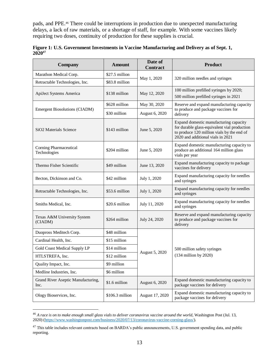pads, and PPE.<sup>46</sup> There could be interruptions in production due to unexpected manufacturing delays, a lack of raw materials, or a shortage of staff, for example. With some vaccines likely requiring two doses, continuity of production for these supplies is crucial.

| Company                                    | <b>Amount</b>   | Date of<br><b>Contract</b> | <b>Product</b>                                                                                                                                                            |  |  |
|--------------------------------------------|-----------------|----------------------------|---------------------------------------------------------------------------------------------------------------------------------------------------------------------------|--|--|
| Marathon Medical Corp.                     | \$27.5 million  |                            |                                                                                                                                                                           |  |  |
| Retractable Technologies, Inc.             | \$83.8 million  | May 1, 2020                | 320 million needles and syringes                                                                                                                                          |  |  |
| ApiJect Systems America                    | \$138 million   | May 12, 2020               | 100 million prefilled syringes by 2020;<br>500 million prefilled syringes in 2021                                                                                         |  |  |
|                                            | \$628 million   | May 30, 2020               | Reserve and expand manufacturing capacity                                                                                                                                 |  |  |
| Emergent Biosolutions (CIADM)              | \$30 million    | August 6, 2020             | to produce and package vaccines for<br>delivery                                                                                                                           |  |  |
| SiO2 Materials Science                     | \$143 million   | June 5, 2020               | Expand domestic manufacturing capacity<br>for durable glass-equivalent vial production<br>to produce 120 million vials by the end of<br>2020 and additional vials in 2021 |  |  |
| Corning Pharmaceutical<br>Technologies     | \$204 million   | June 5, 2020               | Expand domestic manufacturing capacity to<br>produce an additional 164 million glass<br>vials per year                                                                    |  |  |
| Thermo Fisher Scientific                   | \$49 million    | June 13, 2020              | Expand manufacturing capacity to package<br>vaccines for delivery                                                                                                         |  |  |
| Becton, Dickinson and Co.                  | \$42 million    | July 1, 2020               | Expand manufacturing capacity for needles<br>and syringes                                                                                                                 |  |  |
| Retractable Technologies, Inc.             | \$53.6 million  | July 1, 2020               | Expand manufacturing capacity for needles<br>and syringes                                                                                                                 |  |  |
| Smiths Medical, Inc.                       | \$20.6 million  | July 11, 2020              | Expand manufacturing capacity for needles<br>and syringes                                                                                                                 |  |  |
| Texas A&M University System<br>(CIADM)     | \$264 million   | July 24, 2020              | Reserve and expand manufacturing capacity<br>to produce and package vaccines for<br>delivery                                                                              |  |  |
| Duopross Meditech Corp.                    | \$48 million    |                            | 500 million safety syringes<br>$(134$ million by 2020)                                                                                                                    |  |  |
| Cardinal Health, Inc.                      | \$15 million    |                            |                                                                                                                                                                           |  |  |
| Gold Coast Medical Supply LP               | \$14 million    |                            |                                                                                                                                                                           |  |  |
| HTLSTREFA, Inc.                            | \$12 million    | August 5, 2020             |                                                                                                                                                                           |  |  |
| Quality Impact, Inc.                       | \$9 million     |                            |                                                                                                                                                                           |  |  |
| Medline Industries, Inc.                   | \$6 million     |                            |                                                                                                                                                                           |  |  |
| Grand River Aseptic Manufacturing,<br>Inc. | \$1.6 million   | August 6, 2020             | Expand domestic manufacturing capacity to<br>package vaccines for delivery                                                                                                |  |  |
| Ology Bioservices, Inc.                    | \$106.3 million | August 17, 2020            | Expand domestic manufacturing capacity to<br>package vaccines for delivery                                                                                                |  |  |

|             | Figure 1: U.S. Government Investments in Vaccine Manufacturing and Delivery as of Sept. 1, |  |
|-------------|--------------------------------------------------------------------------------------------|--|
| $2020^{47}$ |                                                                                            |  |

<sup>46</sup> *A race is on to make enough small glass vials to deliver coronavirus vaccine around the world*, Washington Post (Jul. 13, 2020) [\(https://www.washingtonpost.com/business/2020/07/13/coronavirus-vaccine-corning-glass/\)](https://www.washingtonpost.com/business/2020/07/13/coronavirus-vaccine-corning-glass/).

<sup>&</sup>lt;sup>47</sup> This table includes relevant contracts based on BARDA's public announcements, U.S. government spending data, and public reporting.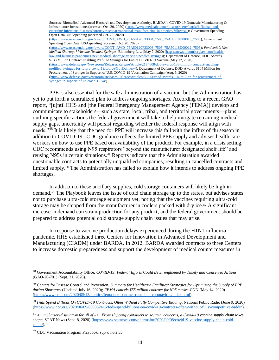Sources: Biomedical Advanced Research and Development Authority, BARDA's COVID-19 Domestic Manufacturing & Infrastructure Investments (accessed Oct. 20, 2020) [\(https://www.medicalcountermeasures.gov/barda/influenza-and](https://www.medicalcountermeasures.gov/barda/influenza-and-emerging-infectious-diseases/coronavirus/pharmaceutical-manufacturing-in-america/?filter=all)[emerging-infectious-diseases/coronavirus/pharmaceutical-manufacturing-in-america/?filter=all\)](https://www.medicalcountermeasures.gov/barda/influenza-and-emerging-infectious-diseases/coronavirus/pharmaceutical-manufacturing-in-america/?filter=all); Government Spending Open Data, USAspending (accessed Oct. 20, 2020) [\(https://www.usaspending.gov/award/CONT\\_AWD\\_75A50120F33004\\_7505\\_75A50118D00013\\_7505\)](https://www.usaspending.gov/award/CONT_AWD_75A50120F33004_7505_75A50118D00013_7505); Government Spending Open Data, USAspending (accessed Oct. 20, 2020) [\(https://www.usaspending.gov/award/CONT\\_AWD\\_75A50120F33003\\_7505\\_75A50118D00012\\_7505\)](https://www.usaspending.gov/award/CONT_AWD_75A50120F33003_7505_75A50118D00012_7505); *Pandemic's Next Medical Shortage? Vaccine Needles, Syringes*, Bloomberg Law (May 7, 2020) [\(https://news.bloomberglaw.com/health](https://news.bloomberglaw.com/health-law-and-business/pandemics-next-medical-shortage-vaccine-needles-syringes)[law-and-business/pandemics-next-medical-shortage-vaccine-needles-syringes\)](https://news.bloomberglaw.com/health-law-and-business/pandemics-next-medical-shortage-vaccine-needles-syringes); Department of Defense, DOD Awards \$138 Million Contract Enabling Prefilled Syringes for Future COVID-19 Vaccine (May 12, 2020) [\(https://www.defense.gov/Newsroom/Releases/Release/Article/2184808/dod-awards-138-million-contract-enabling](https://www.defense.gov/Newsroom/Releases/Release/Article/2184808/dod-awards-138-million-contract-enabling-prefilled-syringes-for-future-covid-19/source/GovDelivery/)[prefilled-syringes-for-future-covid-19/source/GovDelivery/\)](https://www.defense.gov/Newsroom/Releases/Release/Article/2184808/dod-awards-138-million-contract-enabling-prefilled-syringes-for-future-covid-19/source/GovDelivery/); Department of Defense, DOD Awards \$104 Million for Procurement of Syringes in Support of U.S. COVID-19 Vaccination Campaign (Aug. 5, 2020) [\(https://www.defense.gov/Newsroom/Releases/Release/Article/2302139/dod-awards-104-million-for-procurement-of](https://www.defense.gov/Newsroom/Releases/Release/Article/2302139/dod-awards-104-million-for-procurement-of-syringes-in-support-of-us-covid-19-va/)[syringes-in-support-of-us-covid-19-va/\)](https://www.defense.gov/Newsroom/Releases/Release/Article/2302139/dod-awards-104-million-for-procurement-of-syringes-in-support-of-us-covid-19-va/).

PPE is also essential for the safe administration of a vaccine, but the Administration has yet to put forth a centralized plan to address ongoing shortages. According to a recent GAO report, "[u]ntil HHS and [the Federal Emergency Management Agency (FEMA)] develop and communicate to stakeholders—such as state, local, tribal, and territorial governments—plans outlining specific actions the federal government will take to help mitigate remaining medical supply gaps, uncertainty will persist regarding whether the federal response will align with needs."<sup>48</sup> It is likely that the need for PPE will increase this fall with the influx of flu season in addition to COVID-19. CDC guidance reflects the limited PPE supply and advises health care workers on how to use PPE based on availability of the product. For example, in a crisis setting, CDC recommends using N95 respirators "beyond the manufacturer designated shelf life" and reusing N95s in certain situations.<sup>49</sup> Reports indicate that the Administration awarded questionable contracts to potentially unqualified companies, resulting in cancelled contracts and limited supply. <sup>50</sup> The Administration has failed to explain how it intends to address ongoing PPE shortages.

In addition to these ancillary supplies, cold storage containers will likely be high in demand.<sup>51</sup> The Playbook leaves the issue of cold chain storage up to the states, but advises states not to purchase ultra-cold storage equipment yet, noting that the vaccines requiring ultra-cold storage may be shipped from the manufacturer in coolers packed with dry ice.<sup>52</sup> A significant increase in demand can strain production for any product, and the federal government should be prepared to address potential cold storage supply chain issues that may arise.

In response to vaccine production delays experienced during the H1N1 influenza pandemic, HHS established three Centers for Innovation in Advanced Development and Manufacturing (CIADM) under BARDA. In 2012, BARDA awarded contracts to three Centers to increase domestic preparedness and support the development of medical countermeasures in

<sup>48</sup> Government Accountability Office, *COVID-19: Federal Efforts Could Be Strengthened by Timely and Concerted Actions* (GAO-20-701) (Sept. 21, 2020).

<sup>49</sup> Centers for Disease Control and Prevention, *Summary for Healthcare Facilities: Strategies for Optimizing the Supply of PPE during Shortages* (Updated July 16, 2020); *FEMA cancels \$55 million contract for N95 masks*, CNN (May 14, 2020) [\(https://www.cnn.com/2020/05/13/politics/fema-ppe-contract-cancelled-coronavirus/index.html\)](https://www.cnn.com/2020/05/13/politics/fema-ppe-contract-cancelled-coronavirus/index.html).

<sup>50</sup> *Feds Spend Billions On COVID-19 Contracts, Often Without Fully Competitive Bidding*, National Public Radio (June 9, 2020) [\(https://www.npr.org/2020/06/09/869052415/feds-spend-billions-on-covid-19-contracts-often-without-fully-competitive-biddin\)](https://www.npr.org/2020/06/09/869052415/feds-spend-billions-on-covid-19-contracts-often-without-fully-competitive-biddin).

<sup>51</sup> *An unchartered situation for all of us': From shipping containers to security concerns, a Covid-19 vaccine supply chain takes shape*, STAT News (Sept. 8, 2020) [\(https://www.statnews.com/pharmalot/2020/09/08/covid19-vaccine-supply-chain-cold](https://www.statnews.com/pharmalot/2020/09/08/covid19-vaccine-supply-chain-cold-chain/)[chain/\)](https://www.statnews.com/pharmalot/2020/09/08/covid19-vaccine-supply-chain-cold-chain/).

<sup>52</sup> CDC Vaccination Program Playbook, *supra* note 35.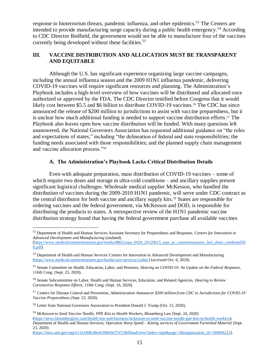response to bioterrorism threats, pandemic influenza, and other epidemics.<sup>53</sup> The Centers are intended to provide manufacturing surge capacity during a public health emergency.<sup>54</sup> According to CDC Director Redfield, the government would not be able to manufacture four of the vaccines currently being developed without these facilities. 55

## **III. VACCINE DISTRIBUTION AND ALLOCATION MUST BE TRANSPARENT AND EQUITABLE**

Although the U.S. has significant experience organizing large vaccine campaigns, including the annual influenza season and the 2009 H1N1 influenza pandemic, delivering COVID-19 vaccines will require significant resources and planning. The Administration's Playbook includes a high-level overview of how vaccines will be distributed and allocated once authorized or approved by the FDA. The CDC Director testified before Congress that it would likely cost between \$5.5 and \$6 billion to distribute COVID-19 vaccines.<sup>56</sup> The CDC has since announced the release of \$200 million to jurisdictions to assist with vaccine preparedness, but it is unclear how much additional funding is needed to support vaccine distribution efforts. <sup>57</sup> The Playbook also leaves open how vaccine distribution will be funded. With many questions left unanswered, the National Governors Association has requested additional guidance on "the roles and expectations of states," including "the delineation of federal and state responsibilities; the funding needs associated with those responsibilities; and the planned supply chain management and vaccine allocation process."<sup>58</sup>

## **A. The Administration's Playbook Lacks Critical Distribution Details**

Even with adequate preparation, mass distribution of COVID-19 vaccines – some of which require two doses and storage in ultra-cold conditions – and ancillary supplies present significant logistical challenges. Wholesale medical supplier McKesson, who handled the distribution of vaccines during the 2009-2010 H1N1 pandemic, will serve under CDC contract as the central distributor for both vaccine and ancillary supply kits.<sup>59</sup> States are responsible for ordering vaccines and the federal government, via McKesson and DOD, is responsible for distributing the products to states. A retrospective review of the H1N1 pandemic vaccine distribution strategy found that having the federal government purchase all available vaccines

<sup>53</sup> Department of Health and Human Services Assistant Secretary for Preparedness and Response, *Centers for Innovation in Advanced Development and Manufacturing* (undated)

[<sup>\(</sup>https://www.medicalcountermeasures.gov/media/8862/aspa\\_0420\\_20120615\\_aspr\\_pr\\_countermeasures\\_fact\\_sheet\\_combined50](https://www.medicalcountermeasures.gov/media/8862/aspa_0420_20120615_aspr_pr_countermeasures_fact_sheet_combined508.pdf) [8.pdf\)](https://www.medicalcountermeasures.gov/media/8862/aspa_0420_20120615_aspr_pr_countermeasures_fact_sheet_combined508.pdf).

<sup>54</sup> Department of Health and Human Services' Centers for Innovation in Advanced Development and Manufacturing [\(https://www.medicalcountermeasures.gov/barda/core-services/ciadm/\)](https://www.medicalcountermeasures.gov/barda/core-services/ciadm/) (accessed Oct. 6, 2020).

<sup>55</sup> Senate Committee on Health, Education, Labor, and Pensions, *Hearing on COVID-19: An Update on the Federal Response*, 116th Cong. (Sept. 23, 2020).

<sup>56</sup> Senate Subcommittee on Labor, Health and Human Services, Education, and Related Agencies, *Hearing to Review Coronavirus Response Efforts*, 116th Cong. (Sept. 16, 2020).

<sup>57</sup> Centers for Disease Control and Prevention, *Administration Announces \$200 million from CDC to Jurisdictions for COVID-19 Vaccine Preparedness* (Sept. 23, 2020).

<sup>58</sup> Letter from National Governors Association to President Donald J. Trump (Oct. 15, 2020).

<sup>59</sup> *McKesson to Send Vaccine Needle, PPE Kits to Health Workers,* Bloomberg Law (Sept. 24, 2020) [\(https://news.bloomberglaw.com/health-law-and-business/mckesson-to-send-vaccine-needle-ppe-kits-to-health-workers\)](https://news.bloomberglaw.com/health-law-and-business/mckesson-to-send-vaccine-needle-ppe-kits-to-health-workers); Department of Health and Human Services, *Operation Warp Speed – Kitting services of Government Furnished Material* (Sept. 23, 2020)

[<sup>\(</sup>https://beta.sam.gov/opp/e11e349fcd6e4c968e9cf74724b0faad/view?index=opp&page=2&organization\\_id=100004222\)](https://beta.sam.gov/opp/e11e349fcd6e4c968e9cf74724b0faad/view?index=opp&page=2&organization_id=100004222).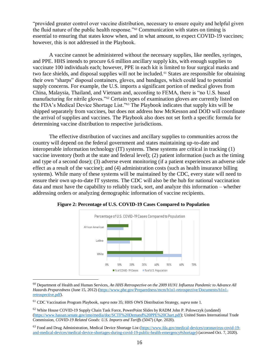"provided greater control over vaccine distribution, necessary to ensure equity and helpful given the fluid nature of the public health response."<sup>60</sup> Communication with states on timing is essential to ensuring that states know when, and in what amount, to expect COVID-19 vaccines; however, this is not addressed in the Playbook.

A vaccine cannot be administered without the necessary supplies, like needles, syringes, and PPE. HHS intends to procure 6.6 million ancillary supply kits, with enough supplies to vaccinate 100 individuals each; however, PPE in each kit is limited to four surgical masks and two face shields, and disposal supplies will not be included.<sup>61</sup> States are responsible for obtaining their own "sharps" disposal containers, gloves, and bandages, which could lead to potential supply concerns. For example, the U.S. imports a significant portion of medical gloves from China, Malaysia, Thailand, and Vietnam and, according to FEMA, there is "no U.S. based manufacturing for nitrile gloves."<sup>62</sup> Certain types of examination gloves are currently listed on the FDA's Medical Device Shortage List."<sup>63</sup> The Playbook indicates that supply kits will be shipped separately from vaccines, but does not address how McKesson and DOD will coordinate the arrival of supplies and vaccines. The Playbook also does not set forth a specific formula for determining vaccine distribution to respective jurisdictions.

The effective distribution of vaccines and ancillary supplies to communities across the country will depend on the federal government and states maintaining up-to-date and interoperable information technology (IT) systems. These systems are critical in tracking (1) vaccine inventory (both at the state and federal level); (2) patient information (such as the timing and type of a second dose); (3) adverse event monitoring (if a patient experiences an adverse side effect as a result of the vaccine); and (4) administration costs (such as health insurance billing systems). While many of these systems will be maintained by the CDC, every state will need to ensure their own up-to-date IT systems. The CDC will also be the hub for national vaccination data and must have the capability to reliably track, sort, and analyze this information – whether addressing orders or analyzing demographic information of vaccine recipients.



 **Figure 2: Percentage of U.S. COVID-19 Cases Compared to Population**

<sup>61</sup> CDC Vaccination Program Playbook, *supra* note 35; HHS OWS Distribution Strategy, *supra* note 1.

 $\overline{a}$ 

<sup>62</sup> White House COVID-19 Supply Chain Task Force, PowerPoint Slides by RADM John P. Polowczyk (undated) [\(https://www.hassan.senate.gov/imo/media/doc/SCTF%20Demand%20PPE%20Chart.pdf\)](https://www.hassan.senate.gov/imo/media/doc/SCTF%20Demand%20PPE%20Chart.pdf); United States International Trade Commission, *COVID-19 Related Goods: U.S. Imports and Tariffs* (5047) (Apr. 2020).

<sup>63</sup> Food and Drug Administration, Medical Device Shortage List [\(https://www.fda.gov/medical-devices/coronavirus-covid-19](https://www.fda.gov/medical-devices/coronavirus-covid-19-and-medical-devices/medical-device-shortages-during-covid-19-public-health-emergency#shortage) [and-medical-devices/medical-device-shortages-during-covid-19-public-health-emergency#shortage\)](https://www.fda.gov/medical-devices/coronavirus-covid-19-and-medical-devices/medical-device-shortages-during-covid-19-public-health-emergency#shortage) (accessed Oct. 7, 2020).

<sup>60</sup> Department of Health and Human Services, *An HHS Retrospective on the 2009 H1N1 Influenza Pandemic to Advance All Hazards Preparedness* (June 15, 2012) [\(https://www.phe.gov/Preparedness/mcm/h1n1-retrospective/Documents/h1n1](https://www.phe.gov/Preparedness/mcm/h1n1-retrospective/Documents/h1n1-retrospective.pdf) [retrospective.pdf\)](https://www.phe.gov/Preparedness/mcm/h1n1-retrospective/Documents/h1n1-retrospective.pdf).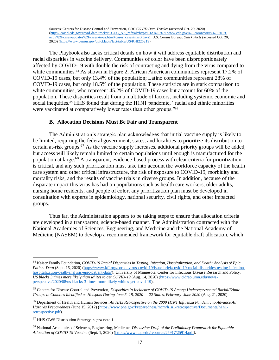Sources: Centers for Disease Control and Prevention, *CDC COVID Data Tracker* (accessed Oct. 20, 2020) [\(https://covid.cdc.gov/covid-data-tracker/?CDC\\_AA\\_refVal=https%3A%2F%2Fwww.cdc.gov%2Fcoronavirus%2F2019](https://covid.cdc.gov/covid-data-tracker/?CDC_AA_refVal=https%3A%2F%2Fwww.cdc.gov%2Fcoronavirus%2F2019-ncov%2Fcases-updates%2Fcases-in-us.html#cases_casesinlast7days) [ncov%2Fcases-updates%2Fcases-in-us.html#cases\\_casesinlast7days\)](https://covid.cdc.gov/covid-data-tracker/?CDC_AA_refVal=https%3A%2F%2Fwww.cdc.gov%2Fcoronavirus%2F2019-ncov%2Fcases-updates%2Fcases-in-us.html#cases_casesinlast7days); U.S. Census Bureau, *Quick Facts* (accessed Oct. 20, 2020) [\(https://www.census.gov/quickfacts/fact/table/US/RHI225219\)](https://www.census.gov/quickfacts/fact/table/US/RHI225219).

The Playbook also lacks critical details on how it will address equitable distribution and racial disparities in vaccine delivery. Communities of color have been disproportionately affected by COVID-19 with double the risk of contracting and dying from the virus compared to white communities.<sup>64</sup> As shown in Figure 2, African American communities represent 17.2% of COVID-19 cases, but only 13.4% of the population; Latino communities represent 28% of COVID-19 cases, but only 18.5% of the population. These statistics are in stark comparison to white communities, who represent 45.2% of COVID-19 cases but account for 60% of the population. These disparities result from a multitude of factors, including systemic economic and social inequities.<sup>65</sup> HHS found that during the H1N1 pandemic, "racial and ethnic minorities were vaccinated at comparatively lower rates than other groups."<sup>66</sup>

#### **B. Allocation Decisions Must Be Fair and Transparent**

The Administration's strategic plan acknowledges that initial vaccine supply is likely to be limited, requiring the federal government, states, and localities to prioritize its distribution to certain at-risk groups.<sup>67</sup> As the vaccine supply increases, additional priority groups will be added, but access will likely remain limited to certain populations until enough is manufactured for the population at large.<sup>68</sup> A transparent, evidence-based process with clear criteria for prioritization is critical, and any such prioritization must take into account the workforce capacity of the health care system and other critical infrastructure, the risk of exposure to COVID-19, morbidity and mortality risks, and the results of vaccine trials in diverse groups. In addition, because of the disparate impact this virus has had on populations such as health care workers, older adults, nursing home residents, and people of color, any prioritization plan must be developed in consultation with experts in epidemiology, national security, civil rights, and other impacted groups.

Thus far, the Administration appears to be taking steps to ensure that allocation criteria are developed in a transparent, science-based manner. The Administration contracted with the National Academies of Sciences, Engineering, and Medicine and the National Academy of Medicine (NASEM) to develop a recommended framework for equitable draft allocation, which

<sup>64</sup> Kaiser Family Foundation, *COVID-19 Racial Disparities in Testing, Infection, Hospitalization, and Death: Analysis of Epic Patient Data* (Sept. 16, 2020) [\(https://www.kff.org/coronavirus-covid-19/issue-brief/covid-19-racial-disparities-testing-infection](https://www.kff.org/coronavirus-covid-19/issue-brief/covid-19-racial-disparities-testing-infection-hospitalization-death-analysis-epic-patient-data/)[hospitalization-death-analysis-epic-patient-data/\)](https://www.kff.org/coronavirus-covid-19/issue-brief/covid-19-racial-disparities-testing-infection-hospitalization-death-analysis-epic-patient-data/); University of Minnesota, Center for Infectious Disease Research and Policy, *US blacks 3 times more likely than whites to get COVID-19* (Aug. 14, 2020) [\(https://www.cidrap.umn.edu/news](https://www.cidrap.umn.edu/news-perspective/2020/08/us-blacks-3-times-more-likely-whites-get-covid-19)[perspective/2020/08/us-blacks-3-times-more-likely-whites-get-covid-19\)](https://www.cidrap.umn.edu/news-perspective/2020/08/us-blacks-3-times-more-likely-whites-get-covid-19).

<sup>65</sup> Centers for Disease Control and Prevention, *Disparities in Incidence of COVID-19 Among Underrepresented Racial/Ethnic Groups in Counties Identified as Hotspots During June 5–18, 2020 — 22 States, February–June 2020* (Aug. 21, 2020).

<sup>66</sup> Department of Health and Human Services, *An HHS Retrospective on the 2009 H1N1 Influenza Pandemic to Advance All Hazards Preparedness* (June 15. 2012) [\(https://www.phe.gov/Preparedness/mcm/h1n1-retrospective/Documents/h1n1](https://www.phe.gov/Preparedness/mcm/h1n1-retrospective/Documents/h1n1-retrospective.pdf) [retrospective.pdf\)](https://www.phe.gov/Preparedness/mcm/h1n1-retrospective/Documents/h1n1-retrospective.pdf).

<sup>67</sup> HHS OWS Distribution Strategy, *supra* note 1.

<sup>68</sup> National Academies of Sciences, Engineering, Medicine, *Discussion Draft of the Preliminary Framework for Equitable Allocation of COVID-19 Vaccine* (Sept. 1, 2020) [\(https://www.nap.edu/resource/25917/25914.pdf\)](https://www.nap.edu/resource/25917/25914.pdf).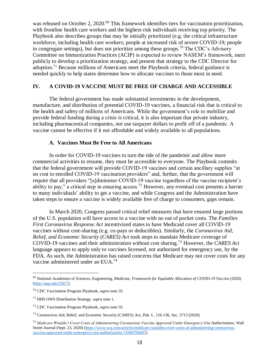was released on October 2, 2020.<sup>69</sup> This framework identifies tiers for vaccination prioritization, with frontline health care workers and the highest-risk individuals receiving top priority. The Playbook also describes groups that may be initially prioritized (e.g. the critical infrastructure workforce, including health care workers; people at increased risk of severe COVID-19; people in congregate settings), but does not prioritize among these groups.<sup>70</sup> The CDC's Advisory Committee on Immunization Practices (ACIP) is expected to review NASEM's framework, meet publicly to develop a prioritization strategy, and present that strategy to the CDC Director for adoption.<sup>71</sup> Because millions of Americans meet the Playbook criteria, federal guidance is needed quickly to help states determine how to allocate vaccines to those most in need.

## **IV. A COVID-19 VACCINE MUST BE FREE OF CHARGE AND ACCESSIBLE**

The federal government has made substantial investments in the development, manufacture, and distribution of potential COVID-19 vaccines, a financial risk that is critical to the health and safety of millions of Americans. While the government's role to mobilize and provide federal funding during a crisis is critical, it is also important that private industry, including pharmaceutical companies, not use taxpayer dollars to profit off of a pandemic. A vaccine cannot be effective if it not affordable and widely available to all populations.

## **A. Vaccines Must Be Free to All Americans**

In order for COVID-19 vaccines to turn the tide of the pandemic and allow more commercial activities to resume, they must be accessible to everyone. The Playbook commits that the federal government will provide COVID-19 vaccines and certain ancillary supplies "at no cost to enrolled COVID-19 vaccination providers" and, further, that the government will require that all providers "[a]dminister COVID-19 vaccine regardless of the vaccine recipient's ability to pay," a critical step in ensuring access.<sup>72</sup> However, any eventual cost presents a barrier to many individuals' ability to get a vaccine, and while Congress and the Administration have taken steps to ensure a vaccine is widely available free of charge to consumers, gaps remain.

In March 2020, Congress passed critical relief measures that have ensured large portions of the U.S. population will have access to a vaccine with no out of pocket costs. The *Families First Coronavirus Response Act* incentivized states to have Medicaid cover all COVID-19 vaccines without cost-sharing (e.g. co-pays or deductibles). Similarly, the *Coronavirus Aid, Relief, and Economic Security (CARES) Act* took steps to mandate Medicare coverage of COVID-19 vaccines and their administration without cost sharing.<sup>73</sup> However, the *CARES Act* language appears to apply only to vaccines licensed, not authorized for emergency use, by the FDA. As such, the Administration has raised concerns that Medicare may not cover costs for any vaccine administered under an EUA.<sup>74</sup>

<sup>69</sup> National Academies of Sciences, Engineering, Medicine, *Framework for Equitable Allocation of COVID-19 Vaccine* (2020) [\(http://nap.edu/25917\)](http://nap.edu/25917).

<sup>70</sup> CDC Vaccination Program Playbook, *supra* note 35.

<sup>71</sup> HHS OWS Distribution Strategy, *supra* note 1.

<sup>72</sup> CDC Vaccination Program Playbook, *supra* note 35.

<sup>73</sup> Coronavirus Aid, Relief, and Economic Security (CARES) Act, Pub. L. 116-136, Sec. 3713 (2020).

<sup>74</sup> *Medicare Wouldn't Cover Costs of Administering Coronavirus Vaccine Approved Under Emergency-Use Authorization*, Wall Street Journal (Sept. 23, 2020) [\(https://www.wsj.com/articles/medicare-wouldnt-cover-costs-of-administering-coronavirus](https://www.wsj.com/articles/medicare-wouldnt-cover-costs-of-administering-coronavirus-vaccine-approved-under-emergency-use-authorization-11600704447)[vaccine-approved-under-emergency-use-authorization-11600704447\)](https://www.wsj.com/articles/medicare-wouldnt-cover-costs-of-administering-coronavirus-vaccine-approved-under-emergency-use-authorization-11600704447).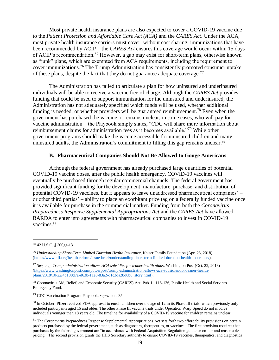Most private health insurance plans are also expected to cover a COVID-19 vaccine due to the *Patient Protection and Affordable Care Act (ACA)* and the *CARES Act*. Under the ACA, most private health insurance carriers must cover, without cost sharing, immunizations that have been recommended by ACIP – the *CARES Act* ensures this coverage would occur within 15 days of ACIP's recommendation.<sup>75</sup> However, a gap may exist for short-term plans, otherwise known as "junk" plans, which are exempted from ACA requirements, including the requirement to cover immunizations.<sup>76</sup> The Trump Administration has consistently promoted consumer uptake of these plans, despite the fact that they do not guarantee adequate coverage.<sup>77</sup>

The Administration has failed to articulate a plan for how uninsured and underinsured individuals will be able to receive a vaccine free of charge. Although the *CARES Act* provides funding that could be used to support immunization for the uninsured and underinsured, the Administration has not adequately specified which funds will be used, whether additional funding is needed, or whether providers will be guaranteed reimbursement.<sup>78</sup> Even when the government has purchased the vaccine, it remains unclear, in some cases, who will pay for vaccine administration – the Playbook simply states, "CDC will share more information about reimbursement claims for administration fees as it becomes available."<sup>79</sup> While other government programs should make the vaccine accessible for uninsured children and many uninsured adults, the Administration's commitment to filling this gap remains unclear.<sup>80</sup>

#### **B. Pharmaceutical Companies Should Not Be Allowed to Gouge Americans**

Although the federal government has already purchased large quantities of potential COVID-19 vaccine doses, after the public health emergency, COVID-19 vaccines will eventually be purchased through regular commercial channels. The federal government has provided significant funding for the development, manufacture, purchase, and distribution of potential COVID-19 vaccines, but it appears to leave unaddressed pharmaceutical companies' – or other third parties' – ability to place an exorbitant price tag on a federally funded vaccine once it is available for purchase in the commercial market. Funding from both the *Coronavirus Preparedness Response Supplemental Appropriations Act* and the *CARES Act* have allowed BARDA to enter into agreements with pharmaceutical companies to invest in COVID-19 vaccines.<sup>81</sup>

<sup>75</sup> 42 U.S.C. § 300gg-13.

<sup>76</sup> *Understanding Short-Term Limited Duration Health Insurance*, Kaiser Family Foundation (Apr. 23, 2018) [\(https://www.kff.org/health-reform/issue-brief/understanding-short-term-limited-duration-health-insurance/\)](https://www.kff.org/health-reform/issue-brief/understanding-short-term-limited-duration-health-insurance/).

<sup>77</sup> *See*, e.g., *Trump administration allows ACA subsidies for leaner health plans*, Washington Post (Oct. 22, 2018) [\(https://www.washingtonpost.com/powerpost/trump-administration-allows-aca-subsidies-for-leaner-health](https://www.washingtonpost.com/powerpost/trump-administration-allows-aca-subsidies-for-leaner-health-plans/2018/10/22/4b108d7a-d63b-11e8-83a2-d1c3da28d6b6_story.html)[plans/2018/10/22/4b108d7a-d63b-11e8-83a2-d1c3da28d6b6\\_story.html\)](https://www.washingtonpost.com/powerpost/trump-administration-allows-aca-subsidies-for-leaner-health-plans/2018/10/22/4b108d7a-d63b-11e8-83a2-d1c3da28d6b6_story.html).

<sup>78</sup> Coronavirus Aid, Relief, and Economic Security (CARES) Act, Pub. L. 116-136, Public Health and Social Services Emergency Fund.

<sup>79</sup> CDC Vaccination Program Playbook, *supra* note 35.

<sup>&</sup>lt;sup>80</sup> In October, Pfizer received FDA approval to enroll children over the age of 12 in its Phase III trials, which previously only included participants aged 16 and older. The other Phase III vaccine trials under Operation Warp Speed do not involve individuals younger than 18 years old. The timeline for availability of a COVID-19 vaccine for children remains unclear.

<sup>&</sup>lt;sup>81</sup> The Coronavirus Preparedness Response Supplemental Appropriations Act sets forth two affordability provisions on certain products purchased by the federal government, such as diagnostics, therapeutics, or vaccines. The first provision requires that purchases by the federal government are "in accordance with Federal Acquisition Regulation guidance on fair and reasonable pricing." The second provision grants the HHS Secretary authority to ensure COVID-19 vaccines, therapeutics, and diagnostics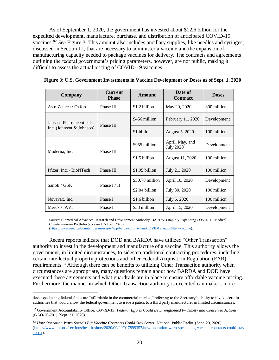As of September 1, 2020, the government has invested about \$12.6 billion for the expedited development, manufacture, purchase, and distribution of anticipated COVID-19 vaccines.<sup>82</sup> *See* Figure 3. This amount also includes ancillary supplies, like needles and syringes, discussed in Section III, that are necessary to administer a vaccine and the expansion of manufacturing capacity needed to package vaccines for delivery. The contracts and agreements outlining the federal government's pricing parameters, however, are not public, making it difficult to assess the actual pricing of COVID-19 vaccines.

| <b>Company</b>              | <b>Current</b><br><b>Phase</b> | <b>Amount</b>   | Date of<br><b>Contract</b>          | <b>Doses</b> |
|-----------------------------|--------------------------------|-----------------|-------------------------------------|--------------|
| AstraZeneca / Oxford        | Phase III                      | \$1.2 billion   | May 20, 2020                        | 300 million  |
| Janssen Pharmaceuticals,    | Phase III                      | \$456 million   | February 11, 2020                   | Development  |
| Inc. (Johnson $& Johnson$ ) |                                | \$1 billion     | August 5, 2020                      | 100 million  |
| Moderna, Inc.               | Phase III                      | \$955 million   | April, May, and<br><b>July 2020</b> | Development  |
|                             |                                | \$1.5 billion   | August 11, 2020                     | 100 million  |
| Pfizer, Inc. / BioNTech     | Phase III                      | $$1.95$ billion | July 21, 2020                       | 100 million  |
|                             | Phase $I / II$                 | \$30.78 million | April 10, 2020                      | Development  |
| Sanofi / GSK                |                                | \$2.04 billion  | July 30, 2020                       | 100 million  |
| Novavax, Inc.               | Phase I                        | \$1.6 billion   | July 6, 2020                        | 100 million  |
| Merck / IAVI                | Phase I                        | \$38 million    | April 15, 2020                      | Development  |

 **Figure 3: U.S. Government Investments in Vaccine Development or Doses as of Sept. 1, 2020**

Source: Biomedical Advanced Research and Development Authority, BARDA's Rapidly Expanding COVID-19 Medical Countermeasure Portfolio (accessed Oct. 20, 2020)

[\(https://www.medicalcountermeasures.gov/app/barda/coronavirus/COVID19.aspx?filter=vaccine\)](https://www.medicalcountermeasures.gov/app/barda/coronavirus/COVID19.aspx?filter=vaccine).

Recent reports indicate that DOD and BARDA have utilized "Other Transaction" authority to invest in the development and manufacture of a vaccine. This authority allows the government, in limited circumstances, to sidestep traditional contracting procedures, including certain intellectual property protections and other Federal Acquisition Regulation (FAR) requirements. <sup>83</sup> Although there can be benefits to utilizing Other Transaction authority when circumstances are appropriate, many questions remain about how BARDA and DOD have executed these agreements and what guardrails are in place to ensure affordable vaccine pricing. Furthermore, the manner in which Other Transaction authority is executed can make it more

 $\overline{a}$ developed using federal funds are "affordable in the commercial market," referring to the Secretary's ability to invoke certain authorities that would allow the federal government to issue a patent to a third party manufacturer in limited circumstances.

<sup>82</sup> Government Accountability Office, *COVID-19: Federal Efforts Could Be Strengthened by Timely and Concerted Actions* (GAO-20-701) (Sept. 21, 2020).

<sup>83</sup> *How Operation Warp Speed's Big Vaccine Contracts Could Stay Secret*, National Public Radio (Sept. 29, 2020) [\(https://www.npr.org/sections/health-shots/2020/09/29/917899357/how-operation-warp-speeds-big-vaccine-contracts-could-stay](https://www.npr.org/sections/health-shots/2020/09/29/917899357/how-operation-warp-speeds-big-vaccine-contracts-could-stay-secret)[secret\)](https://www.npr.org/sections/health-shots/2020/09/29/917899357/how-operation-warp-speeds-big-vaccine-contracts-could-stay-secret).